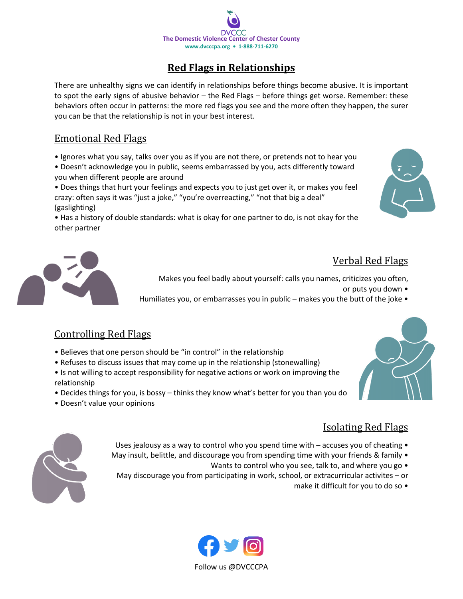

## **Red Flags in Relationships**

There are unhealthy signs we can identify in relationships before things become abusive. It is important to spot the early signs of abusive behavior – the Red Flags – before things get worse. Remember: these behaviors often occur in patterns: the more red flags you see and the more often they happen, the surer you can be that the relationship is not in your best interest.

#### Emotional Red Flags

- Ignores what you say, talks over you as if you are not there, or pretends not to hear you
- Doesn't acknowledge you in public, seems embarrassed by you, acts differently toward you when different people are around

• Does things that hurt your feelings and expects you to just get over it, or makes you feel crazy: often says it was "just a joke," "you're overreacting," "not that big a deal" (gaslighting)

• Has a history of double standards: what is okay for one partner to do, is not okay for the other partner





## Verbal Red Flags

Makes you feel badly about yourself: calls you names, criticizes you often,

or puts you down •

Humiliates you, or embarrasses you in public – makes you the butt of the joke •

## Controlling Red Flags

- Believes that one person should be "in control" in the relationship
- Refuses to discuss issues that may come up in the relationship (stonewalling)
- Is not willing to accept responsibility for negative actions or work on improving the relationship
- Decides things for you, is bossy thinks they know what's better for you than you do
- Doesn't value your opinions

#### Isolating Red Flags

- Uses jealousy as a way to control who you spend time with  $-$  accuses you of cheating  $\bullet$
- May insult, belittle, and discourage you from spending time with your friends & family
	- Wants to control who you see, talk to, and where you go •
	- May discourage you from participating in work, school, or extracurricular activites or
		- make it difficult for you to do so •